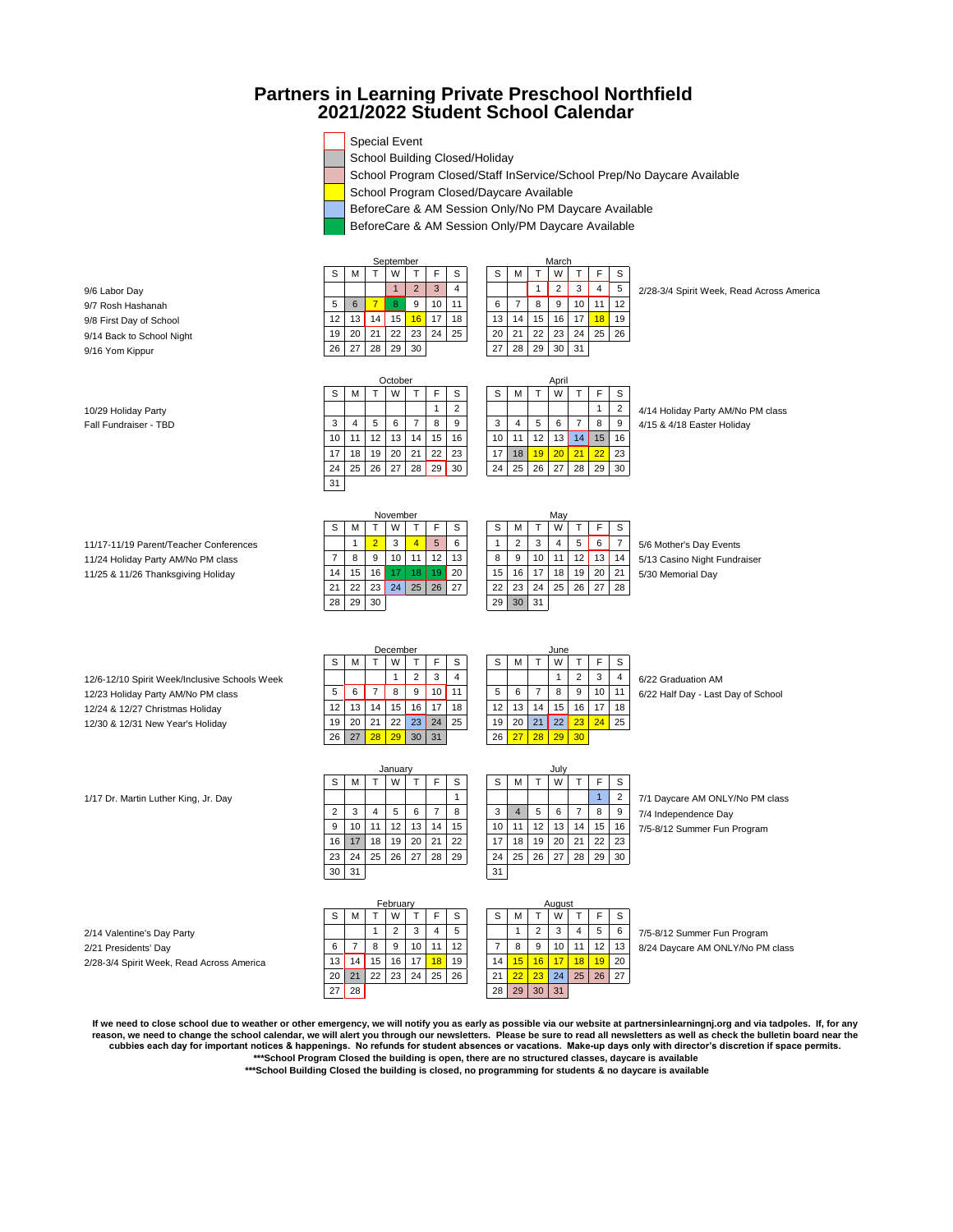# **Partners in Learning Private Preschool Northfield 2021/2022 Student School Calendar**

|  | $\Box$ Special Event           |  |  |
|--|--------------------------------|--|--|
|  | School Building Closed/Holiday |  |  |
|  |                                |  |  |

September

Octobe

School Program Closed/Staff InService/School Prep/No Daycare Available

School Program Closed/Daycare Available

BeforeCare & AM Session Only/No PM Daycare Available

BeforeCare & AM Session Only/PM Daycare Available

S | M | T | W | T | F | S | | S | M | T | W | T | F | S

10 11 12 13 14 15 16 10 11 12 13 14 15 16 17 | 18 | 19 | 20 | 21 | 22 | 23 | | 17 | 18 <mark>| 19 | 20 | 21 | 22 |</mark> 23 24 | 25 | 26 | 27 | 28 | 29 | 30 | | 24 | 25 | 26 | 27 | 28 | 29 | 30

S | M | T | W | T | F | S | | S | M | T | W | T | F | S

November May

21 22 23 24 25 26 27 22 23 24 25 26 27 28

28 29 30 29 30 31

| S  | M  |    | W  |                | F  |  |
|----|----|----|----|----------------|----|--|
|    |    |    |    | $\overline{2}$ | 3  |  |
| 5  | 6  |    | 8  | 9              | 10 |  |
| 12 | 13 | 14 | 15 | 16             | 17 |  |
| 19 | 20 | 21 | 22 | 23             | 24 |  |
| 26 | 27 | 28 | 29 | 30             |    |  |

31



9/16 Yom Kippur

10/29 Holiday Party **1 2 1 2 1 2 1 2 4/14 Holiday Party AM/No PM** class Fall Fundraiser - TBD 3 4 5 6 7 8 9 3 4 5 6 7 8 9 4/15 & 4/18 Easter Holiday

11/17-11/19 Parent/Teacher Conferences 1 2 3 4 5 6 1 2 3 4 5 6 7 5/6 Mother's Day Events 11/24 Holiday Party AM/No PM class 7 8 9 10 11 12 13 8 9 10 11 12 13 14 5/13 Casino Night Fundraiser 11/25 & 11/26 Thanksgiving Holiday 14 15 | 16 | 17 | 18 | 19 | 20 | 15 | 16 | 17 | 18 | 19 | 20 | 21 | 5/30 Memorial Day

12/6-12/10 Spirit Week/Inclusive Schools Week 1 2 3 4 1 2 3 4 1 2 3 4 6/22 Graduation AM<br>12/23 Holiday Party AM/No PM class 1 2 6 6 7 8 9 10 11 5 6 7 8 9 10 11 6/22 Half Day - Last 12/23 Holiday Party AM/No PM class 5 6 7 8 9 10 11 5 6 7 8 9 10 11 6/22 Half Day - Last Day of School<br>12/24 & 12/27 Christmas Holiday 6 12 13 14 15 16 17 18 12 13 14 15 16 17 18 12/24 & 12/27 Christmas Holiday 12 13 14 15 16 17 18 12 13 14 15 16 17 18<br>12/30 & 12/31 New Year's Holiday 19 20 21 22 23 24 25 19 20 21 22 23 24 25 12/30 & 12/31 New Year's Holiday

|    |    |    | December |    |    | June |    |    |    |    |    |    |    |  |  |  |
|----|----|----|----------|----|----|------|----|----|----|----|----|----|----|--|--|--|
| S  | м  |    | W        |    | F  | S    | S  | м  |    | W  |    | ۲  | S  |  |  |  |
|    |    |    |          | 2  | 3  | 4    |    |    |    |    | 2  | 3  | 4  |  |  |  |
| 5  | 6  |    | 8        | 9  | 10 | 11   | 5  | 6  |    | 8  | 9  | 10 | 11 |  |  |  |
| 12 | 13 | 14 | 15       | 16 | 17 | 18   | 12 | 13 | 14 | 15 | 16 | 17 | 18 |  |  |  |
| 19 | 20 | 21 | 22       | 23 | 24 | 25   | 19 | 20 | 21 | 22 | 23 | 24 | 25 |  |  |  |
| 26 | 27 | 28 | 29       | 30 | 31 |      | 26 |    | 28 | 29 | 30 |    |    |  |  |  |

| June |    |    |    |    |                |    |   |  |  |  |  |  |  |
|------|----|----|----|----|----------------|----|---|--|--|--|--|--|--|
|      | S  | M  |    | W  | т              | F  |   |  |  |  |  |  |  |
|      |    |    |    |    | $\overline{2}$ | 3  |   |  |  |  |  |  |  |
|      | 5  | 6  | 7  | 8  | 9              | 10 | 1 |  |  |  |  |  |  |
|      | 12 | 13 | 14 | 15 | 16             | 17 | 1 |  |  |  |  |  |  |
|      | 19 | 20 | 21 | 22 | 23             | 24 | 2 |  |  |  |  |  |  |
|      | 26 | 27 | 28 | 29 | 30             |    |   |  |  |  |  |  |  |

2/14 Valentine's Day Party<br>
2/21 Presidents' Day 2014 12 3 4 5 1 2 3 4 5 1 2 3 4 5 7 8 9 10 11 12 13 8/24 Daycare AM ONLY/No PM 2/21 Presidents' Day<br>2/28-3/4 Spirit Week. Read Across America 13 | 14 | 15 | 16 | 17 | 18 | 19 | 19 | 18 | 18 | 17 | 18 | 19 | 20

|                                           |                 |    |    | February |    |    |    | August |              |    |    |                |
|-------------------------------------------|-----------------|----|----|----------|----|----|----|--------|--------------|----|----|----------------|
|                                           | S               | M  |    | W        |    |    | S  | S      | м            |    | W  |                |
| 2/14 Valentine's Day Party                |                 |    |    | 2        | 3  | 4  | 5  |        |              | っ  | 3  | $\overline{4}$ |
| 2/21 Presidents' Day                      | 6               |    | 8  | 9        | 10 | 11 | 12 |        | 8            | 9  | 10 | 11             |
| 2/28-3/4 Spirit Week, Read Across America | 13 <sub>1</sub> | 14 | 15 | 16       | 17 | 18 | 19 | 14     | 15           | 16 |    | 18             |
|                                           | 20              | 21 | 22 | 23       | 24 | 25 | 26 | 21     | $22^{\circ}$ | 23 | 24 | 25             |
|                                           | 27              | 28 |    |          |    |    |    | 28     | 29           | 30 | 31 |                |

|                                      |    |    |                 | January |    |    |    |                 |    |    | July |    |    |                |                                 |
|--------------------------------------|----|----|-----------------|---------|----|----|----|-----------------|----|----|------|----|----|----------------|---------------------------------|
|                                      | S. | м  |                 | W       |    |    | S. | S               | м  |    | W    |    |    | S              |                                 |
| 1/17 Dr. Martin Luther King, Jr. Day |    |    |                 |         |    |    |    |                 |    |    |      |    |    | $\overline{2}$ | 7/1 Daycare AM ONLY/No PM class |
|                                      | 2  | 3  |                 | 5       | 6  |    | 8  | 3               | 4  | 5  | 6    |    | 8  | 9              | 7/4 Independence Day            |
|                                      | 9  | 10 | 11              | 12      | 13 | 14 | 15 | 10 <sup>1</sup> | 11 | 12 | 13   | 14 | 15 | 16             | 7/5-8/12 Summer Fun Program     |
|                                      | 16 |    | 18 <sup>1</sup> | 19      | 20 | 21 | 22 | 17              | 18 | 19 | 20   | 21 | 22 | 23             |                                 |
|                                      | 23 | 24 | 25 <sub>1</sub> | 26      | 27 | 28 | 29 | 24 <sup>1</sup> | 25 | 26 | 27   | 28 | 29 | 30             |                                 |
|                                      | 30 | 31 |                 |         |    |    |    | 31              |    |    |      |    |    |                |                                 |

S | M | T | W | T | F | S | | S | M | T | W | T | F | S 20 | 21 | 22 | 23 | 24 | 25 | 26 | | 21 <mark>| 22 | 23 |</mark> 24 | 25 | 26 | 27 Augus<br>W

**If we need to close school due to weather or other emergency, we will notify you as early as possible via our website at partnersinlearningnj.org and via tadpoles. If, for any reason, we need to change the school calendar, we will alert you through our newsletters. Please be sure to read all newsletters as well as check the bulletin board near the cubbies each day for important notices & happenings. No refunds for student absences or vacations. Make-up days only with director's discretion if space permits. \*\*\*School Program Closed the building is open, there are no structured classes, daycare is available**

 **\*\*\*School Building Closed the building is closed, no programming for students & no daycare is available**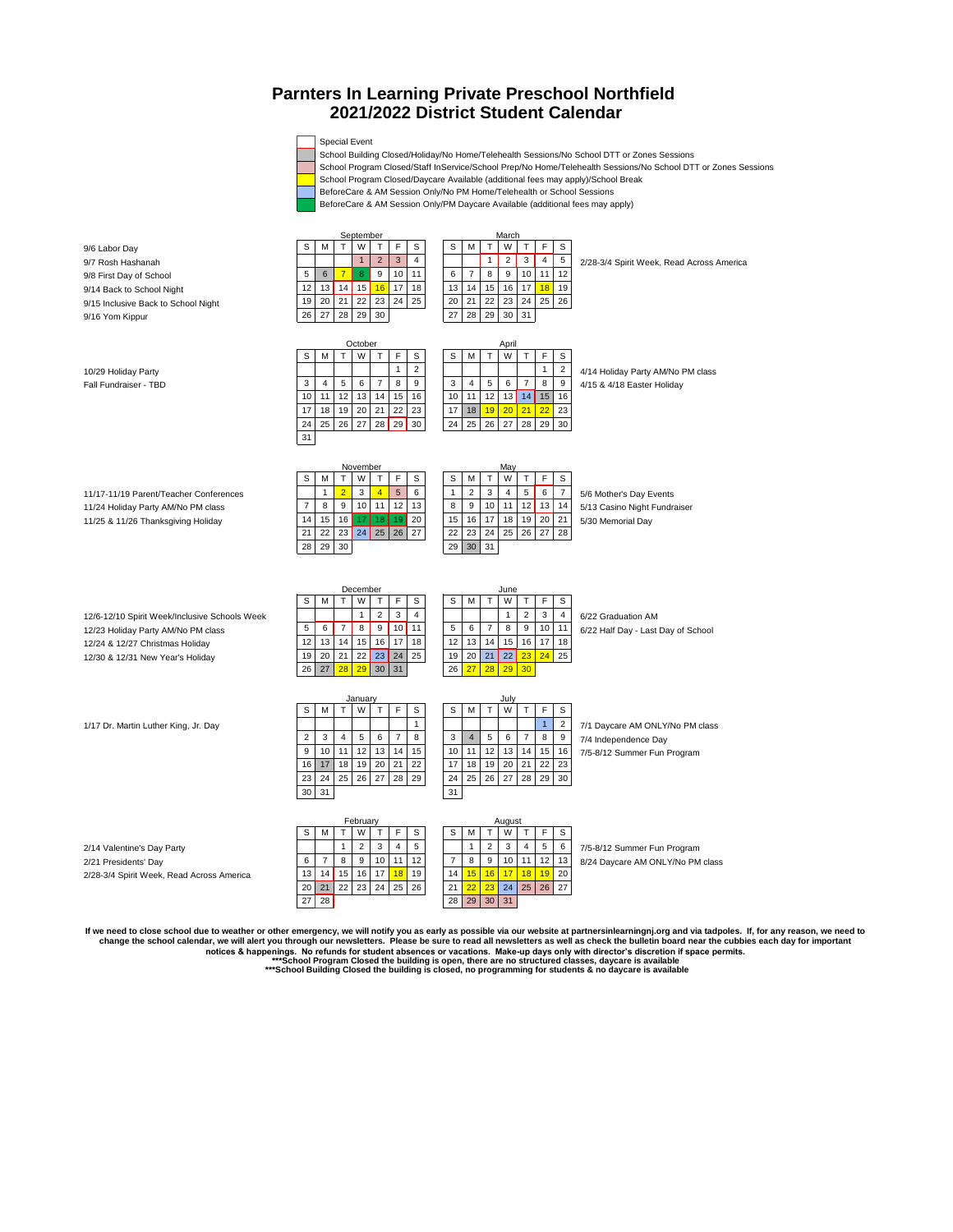## **Parnters In Learning Private Preschool Northfield 2021/2022 District Student Calendar**

#### Special Event

School Building Closed/Holiday/No Home/Telehealth Sessions/No School DTT or Zones Sessions

School Program Closed/Staff InService/School Prep/No Home/Telehealth Sessions/No School DTT or Zones Sessions

School Program Closed/Daycare Available (additional fees may apply)/School Break

BeforeCare & AM Session Only/No PM Home/Telehealth or School Sessions

BeforeCare & AM Session Only/PM Daycare Available (additional fees may apply)

9/6 Labor Day | S | M | T | W | T | F | S | \_ \_ \_ S | M | T | W | T | F | S 9/7 Rosh Hashanah 1 2 3 4 1 2 3 4 5 2/28-3/4 Spirit Week, Read Across America 9/8 First Day of School 5 6 7 8 9 10 11 6 7 8 9 10 11 12<br>9/14 Back to School Night 12 13 14 15 16 17 18 19 19 19 19 19 19 19 19 19 10 11 12 12 13 14 15 16 17 18 19 9/14 Back to School Night 12 13 14 15 16 17 18 13 14 15 16 17 18 19 9/15 Inclusive Back to School Night 19 20 21 22 23 24 25 20 21 22 23 24<br>9/16 Yom Kippur 28 29 30 31 9/16 Yom Kippur 26 27 28 29 30  $S \mid M \mid T \mid W \mid T \mid F \mid S$  S  $M \mid T \mid W \mid T \mid F \mid S$ 10/29 Holiday Party<br>
11 2 4/14 Holiday Party AM/No PM class<br>
12 4/15 8 4/15 8 4/16 Easter Holiday Fall Fundraiser - TBD 3 4 5 6 7 8 9 3 4 5 6 7 8 9 4/15 & 4/18 Easter Holiday 10 11 12 13 14 15 16 10 11 12 13 14 15 16 17 18 19 20 21 22 23 17 18 19 20 21 22 23 24 25 26 27 28 29 30 24 25 26 27 28 29 30 31 S | M | T | W | T | F | S | | S | M | T | W | T | F | S 11/17-11/19 Parent/Teacher Conferences 1 2 3 4 5 6 1 2 3 4 5 6 7 5/6 Mother's Day Events<br>11/24 Holiday Party AM/No PM class 7 8 9 10 11 12 13 8 9 10 11 12 13 14 5/13 Casino Night Fundr 11/24 Holiday Party AM/No PM class 7 8 9 10 11 12 13 8 9 10 11 12 13 14 5/13 Casino Night Fundraiser 11/25 & 11/26 Thanksgiving Holiday 14 15 16 17 18 19 20 15 16 17 18 19 20 21 5/30 Memorial Day 21 22 23 24 25 26 27 22 23 24 25 26 27 28 28 29 30 31 S M T W T F S S S M T W T F S 12/6-12/10 Spirit Week/Inclusive Schools Week 1 2 3 4 1 2 3 4 1 2 3 4 6/22 Graduation AM<br>12/23 Holiday Party AM/No PM class 12/23 Holiday Party AM/No PM class 5 6 7 8 9 10 11 5 6 7 8 9 10 11 6/22 Half Day - Last Day of School 12/24 & 12/27 Christmas Holiday 12/31 14 15 16 17 18 12/31 14 15 16 17 18 12/30 & 12/31 New Year's Holiday 19<br>12/30 & 12/31 New Year's Holiday 19 20 21 22 23 24 25 19 20 21 22 23 24 25 12/30 & 12/31 New Year's Holiday 19 20 21 22 23 24 25 19 20 21 22 23 24 25 19 20 21 22 23 24 25 19 20 21 22 23 24 25 19 20 21 22 23 24 25 19 20 21 22 23 24 25 19 20 21 22 23 24 25 19 20 21 22 23 29 30 21 22 23 29 30 21 22 26 27 28 29 30  $S$  M T W T F S S M T W T F S 1/17 Dr. Martin Luther King, Jr. Day 1 2 7/1 Daycare AM ONLY/No PM class 2 3 4 5 6 7 8 3 4 5 6 7 8 9 7/4 Independence Day<br>9 10 11 12 13 14 15 10 11 12 13 14 15 16 7/5-8/12 Summer Fun 9 10 11 12 13 14 15 10 11 12 13 14 15 16 7/5-8/12 Summer Fun Program<br>16 17 18 19 20 21 22 17 18 19 20 21 22 23 17 18 19 20 21 22 23 24 25 26 27 28 29 29 24 25 26 27 28 29 30 30 31 31  $S \mid M \mid T \mid W \mid T \mid F \mid S$  S  $M \mid T \mid W \mid T \mid F \mid S$ 2/14 Valentine's Day Party<br>
2/21 Presidents' Day<br>
2/21 Presidents' Day 2/21 Presidents' Day 6 7 8 9 10 11 12 7 8 9 10 11 12 13 8/24 Daycare AM ONLY/No PM class 2/28-3/4 Spirit Week, Read Across America 20 21 22 23 24 25 26 27 22 23 24 25 26 27 21 22 23 27 28 29 30 31 September March<br>
T
W
T
F
S
S
M
T
W **February** ctober April April 2013 December June Augu: November May January July

 **\*\*\*School Building Closed the building is closed, no programming for students & no daycare is available** lf we need to close school due to weather or other emergency, we will notify you as early as possible via our website at partnersinlearningnj.org and via tadpoles. If, for any reason, we need to<br>change the school calendar, notices & happenings. No refunds for student absences or vacations. Make-up days only with director's discretion if space permits.<br>\*\*\*School Program Closed the building is open, there are no structured classes, daycare i